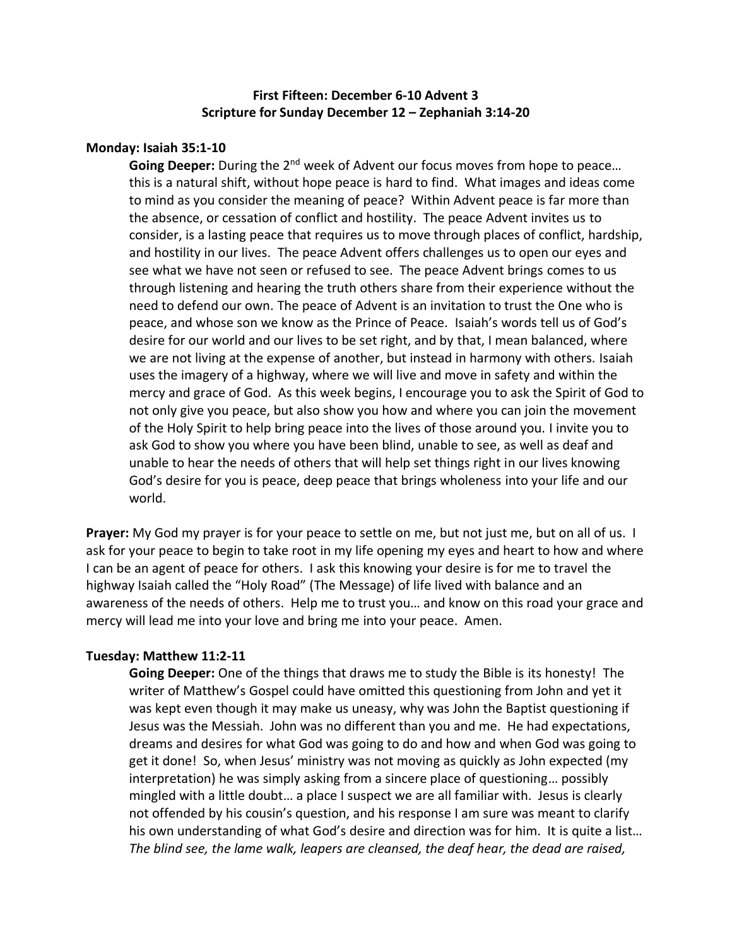# **First Fifteen: December 6-10 Advent 3 Scripture for Sunday December 12 – Zephaniah 3:14-20**

### **Monday: Isaiah 35:1-10**

**Going Deeper:** During the 2<sup>nd</sup> week of Advent our focus moves from hope to peace... this is a natural shift, without hope peace is hard to find. What images and ideas come to mind as you consider the meaning of peace? Within Advent peace is far more than the absence, or cessation of conflict and hostility. The peace Advent invites us to consider, is a lasting peace that requires us to move through places of conflict, hardship, and hostility in our lives. The peace Advent offers challenges us to open our eyes and see what we have not seen or refused to see. The peace Advent brings comes to us through listening and hearing the truth others share from their experience without the need to defend our own. The peace of Advent is an invitation to trust the One who is peace, and whose son we know as the Prince of Peace. Isaiah's words tell us of God's desire for our world and our lives to be set right, and by that, I mean balanced, where we are not living at the expense of another, but instead in harmony with others. Isaiah uses the imagery of a highway, where we will live and move in safety and within the mercy and grace of God. As this week begins, I encourage you to ask the Spirit of God to not only give you peace, but also show you how and where you can join the movement of the Holy Spirit to help bring peace into the lives of those around you. I invite you to ask God to show you where you have been blind, unable to see, as well as deaf and unable to hear the needs of others that will help set things right in our lives knowing God's desire for you is peace, deep peace that brings wholeness into your life and our world.

**Prayer:** My God my prayer is for your peace to settle on me, but not just me, but on all of us. I ask for your peace to begin to take root in my life opening my eyes and heart to how and where I can be an agent of peace for others. I ask this knowing your desire is for me to travel the highway Isaiah called the "Holy Road" (The Message) of life lived with balance and an awareness of the needs of others. Help me to trust you… and know on this road your grace and mercy will lead me into your love and bring me into your peace. Amen.

#### **Tuesday: Matthew 11:2-11**

**Going Deeper:** One of the things that draws me to study the Bible is its honesty! The writer of Matthew's Gospel could have omitted this questioning from John and yet it was kept even though it may make us uneasy, why was John the Baptist questioning if Jesus was the Messiah. John was no different than you and me. He had expectations, dreams and desires for what God was going to do and how and when God was going to get it done! So, when Jesus' ministry was not moving as quickly as John expected (my interpretation) he was simply asking from a sincere place of questioning… possibly mingled with a little doubt… a place I suspect we are all familiar with. Jesus is clearly not offended by his cousin's question, and his response I am sure was meant to clarify his own understanding of what God's desire and direction was for him. It is quite a list… *The blind see, the lame walk, leapers are cleansed, the deaf hear, the dead are raised,*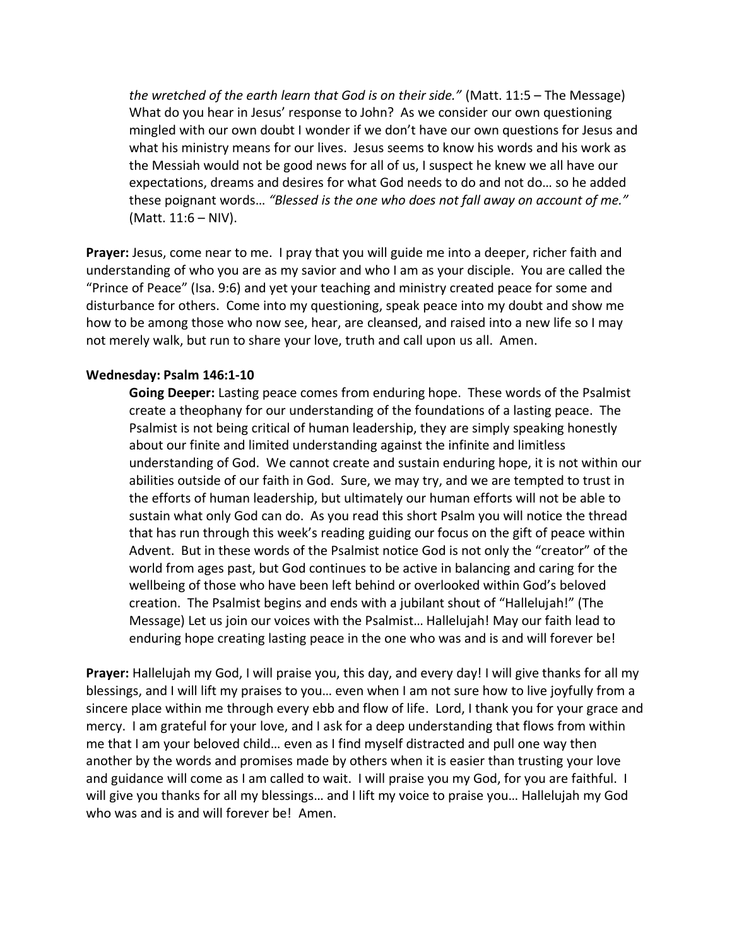*the wretched of the earth learn that God is on their side."* (Matt. 11:5 – The Message) What do you hear in Jesus' response to John? As we consider our own questioning mingled with our own doubt I wonder if we don't have our own questions for Jesus and what his ministry means for our lives. Jesus seems to know his words and his work as the Messiah would not be good news for all of us, I suspect he knew we all have our expectations, dreams and desires for what God needs to do and not do… so he added these poignant words… *"Blessed is the one who does not fall away on account of me."*  (Matt. 11:6 – NIV).

**Prayer:** Jesus, come near to me. I pray that you will guide me into a deeper, richer faith and understanding of who you are as my savior and who I am as your disciple. You are called the "Prince of Peace" (Isa. 9:6) and yet your teaching and ministry created peace for some and disturbance for others. Come into my questioning, speak peace into my doubt and show me how to be among those who now see, hear, are cleansed, and raised into a new life so I may not merely walk, but run to share your love, truth and call upon us all. Amen.

# **Wednesday: Psalm 146:1-10**

**Going Deeper:** Lasting peace comes from enduring hope. These words of the Psalmist create a theophany for our understanding of the foundations of a lasting peace. The Psalmist is not being critical of human leadership, they are simply speaking honestly about our finite and limited understanding against the infinite and limitless understanding of God. We cannot create and sustain enduring hope, it is not within our abilities outside of our faith in God. Sure, we may try, and we are tempted to trust in the efforts of human leadership, but ultimately our human efforts will not be able to sustain what only God can do. As you read this short Psalm you will notice the thread that has run through this week's reading guiding our focus on the gift of peace within Advent. But in these words of the Psalmist notice God is not only the "creator" of the world from ages past, but God continues to be active in balancing and caring for the wellbeing of those who have been left behind or overlooked within God's beloved creation. The Psalmist begins and ends with a jubilant shout of "Hallelujah!" (The Message) Let us join our voices with the Psalmist… Hallelujah! May our faith lead to enduring hope creating lasting peace in the one who was and is and will forever be!

**Prayer:** Hallelujah my God, I will praise you, this day, and every day! I will give thanks for all my blessings, and I will lift my praises to you… even when I am not sure how to live joyfully from a sincere place within me through every ebb and flow of life. Lord, I thank you for your grace and mercy. I am grateful for your love, and I ask for a deep understanding that flows from within me that I am your beloved child… even as I find myself distracted and pull one way then another by the words and promises made by others when it is easier than trusting your love and guidance will come as I am called to wait. I will praise you my God, for you are faithful. I will give you thanks for all my blessings… and I lift my voice to praise you… Hallelujah my God who was and is and will forever be! Amen.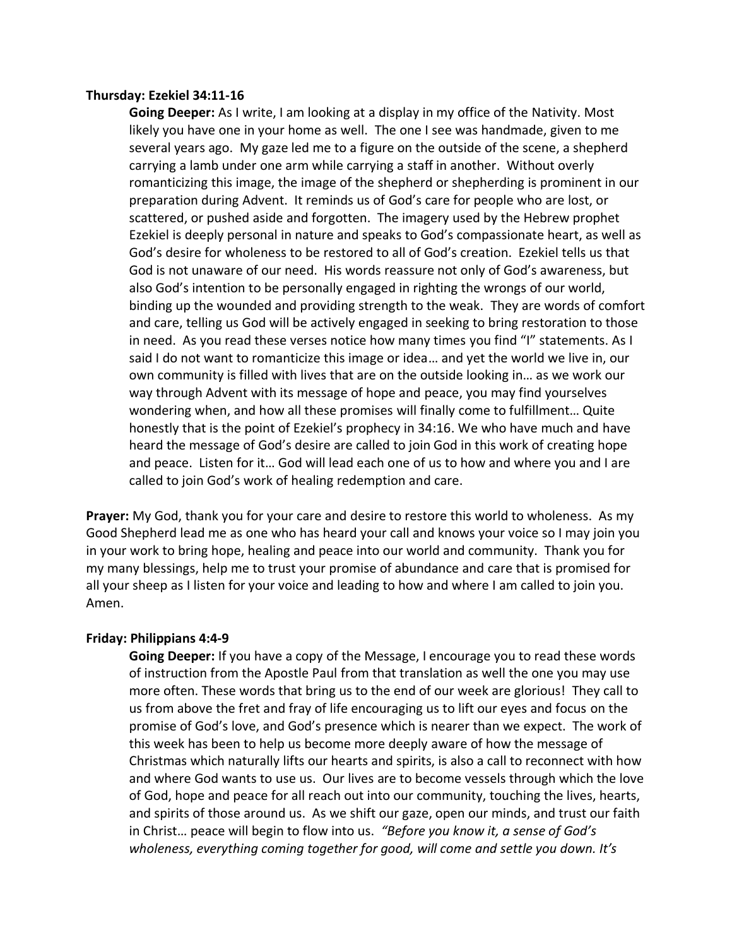### **Thursday: Ezekiel 34:11-16**

**Going Deeper:** As I write, I am looking at a display in my office of the Nativity. Most likely you have one in your home as well. The one I see was handmade, given to me several years ago. My gaze led me to a figure on the outside of the scene, a shepherd carrying a lamb under one arm while carrying a staff in another. Without overly romanticizing this image, the image of the shepherd or shepherding is prominent in our preparation during Advent. It reminds us of God's care for people who are lost, or scattered, or pushed aside and forgotten. The imagery used by the Hebrew prophet Ezekiel is deeply personal in nature and speaks to God's compassionate heart, as well as God's desire for wholeness to be restored to all of God's creation. Ezekiel tells us that God is not unaware of our need. His words reassure not only of God's awareness, but also God's intention to be personally engaged in righting the wrongs of our world, binding up the wounded and providing strength to the weak. They are words of comfort and care, telling us God will be actively engaged in seeking to bring restoration to those in need. As you read these verses notice how many times you find "I" statements. As I said I do not want to romanticize this image or idea… and yet the world we live in, our own community is filled with lives that are on the outside looking in… as we work our way through Advent with its message of hope and peace, you may find yourselves wondering when, and how all these promises will finally come to fulfillment… Quite honestly that is the point of Ezekiel's prophecy in 34:16. We who have much and have heard the message of God's desire are called to join God in this work of creating hope and peace. Listen for it… God will lead each one of us to how and where you and I are called to join God's work of healing redemption and care.

**Prayer:** My God, thank you for your care and desire to restore this world to wholeness. As my Good Shepherd lead me as one who has heard your call and knows your voice so I may join you in your work to bring hope, healing and peace into our world and community. Thank you for my many blessings, help me to trust your promise of abundance and care that is promised for all your sheep as I listen for your voice and leading to how and where I am called to join you. Amen.

# **Friday: Philippians 4:4-9**

**Going Deeper:** If you have a copy of the Message, I encourage you to read these words of instruction from the Apostle Paul from that translation as well the one you may use more often. These words that bring us to the end of our week are glorious! They call to us from above the fret and fray of life encouraging us to lift our eyes and focus on the promise of God's love, and God's presence which is nearer than we expect. The work of this week has been to help us become more deeply aware of how the message of Christmas which naturally lifts our hearts and spirits, is also a call to reconnect with how and where God wants to use us. Our lives are to become vessels through which the love of God, hope and peace for all reach out into our community, touching the lives, hearts, and spirits of those around us. As we shift our gaze, open our minds, and trust our faith in Christ… peace will begin to flow into us. *"Before you know it, a sense of God's wholeness, everything coming together for good, will come and settle you down. It's*